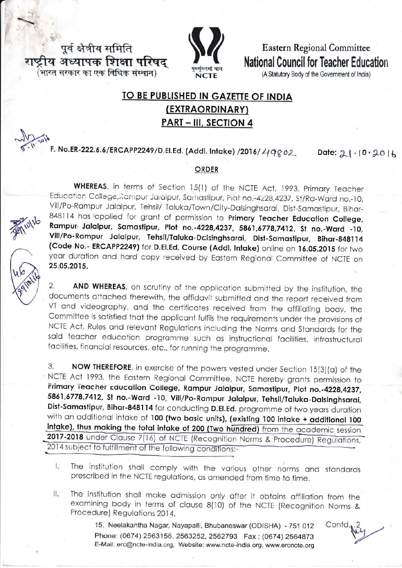पूर्व क्षेत्रीय समिति राष्ट्रीय अध्यापक शिक्षा परिषद (भारत सरकार का एक विधिक संस्थान)



**Eastern Regional Committee** National Council for Teacher Education

(A Statutory Body of the Government of India)

## TO BE PUBLISHED IN GAZETTE OF INDIA (EXTRAORDINARY) **PART - III, SECTION 4**

F. No.ER-222.6.6/ERCAPP2249/D.El.Ed. (Addl. Intake) /2016/ 49802

Date:  $21 \cdot 10 \cdot 2016$ 

## **ORDER**

WHEREAS, in terms of Section 15(1) of the NCTE Act, 1993, Primary Teacher Education College, Rampur Jaialpur, Samastipur, Piot no.-4228,4237, St/Rd-Ward no.-10, Vill/Po-Rampur Jalalpur, Tehsil/ Taluka/Town/City-Dalsinghsarai, Dist-Samastipur, Bihar-848114 has applied for grant of permission to Primary Teacher Education College, Rampur Jalalpur, Samastipur, Plot no.-4228,4237, 5861,6778,7412, St no.-Ward -10, Vill/Po-Rampur Jalalpur, Tehsil/Taluka-Dalsinghsarai, Dist-Samastipur, Bihar-848114 (Code No.- ERCAPP2249) for D.El.Ed. Course (Addl. Intake) online on 16.05.2015 for two year duration and hard copy received by Eastern Regional Committee of NCTE on 25.05.2015.

AND WHEREAS, on scrutiny of the application submitted by the institution, the 2. documents attached therewith, the affidavit submitted and the report received from VT and videography, and the certificates received from the affiliating body, the Committee is satisfied that the applicant fulfils the requirements under the provisions of NCTE Act, Rules and relevant Regulations including the Norms and Standards for the said teacher education programme such as instructional facilities, infrastructural facilities, financial resources, etc., for running the programme.

3. NOW THEREFORE, in exercise of the powers vested under Section 15(3)(a) of the NCTE Act 1993, the Eastern Regional Committee, NCTE hereby grants permission to Frimary Teacher Education College, Rampur Jalalpur, Samastipur, Plot no.-4228,4237, 5861,6778,7412, St no.-Ward -10, Vill/Po-Rampur Jalalpur, Tehsil/Taluka-Dalsinghsarai, Dist-Samastipur, Bihar-848114 for conducting D.El.Ed. programme of two years duration with an additional intake of 100 (two basic units), (existing 100 intake + additional 100 intake), thus making the total intake of 200 (Two hundred) from the academic session 2017-2018 under Clause 7(16) of NCTE (Recognition Norms & Procedure) Regulations, 2014 subject to fulfillment of the following conditions:-

- The institution shall comply with the various other norms and standards L prescribed in the NCTE regulations, as amended from time to time.
- The institution shall make admission only after it obtains affiliation from the  $II.$ examining body in terms of clause 8(10) of the NCTE (Recognition Norms & Procedure) Regulations 2014.

15, Neelakantha Nagar, Nayapalli, Bhubaneswar (ODISHA) - 751 012 Phone: (0674) 2563156, 2563252, 2562793 Fax: (0674) 2564873 E-Mail: erc@ncte-india.org, Website: www.ncte-india.org, www.ercncte.org

Contd